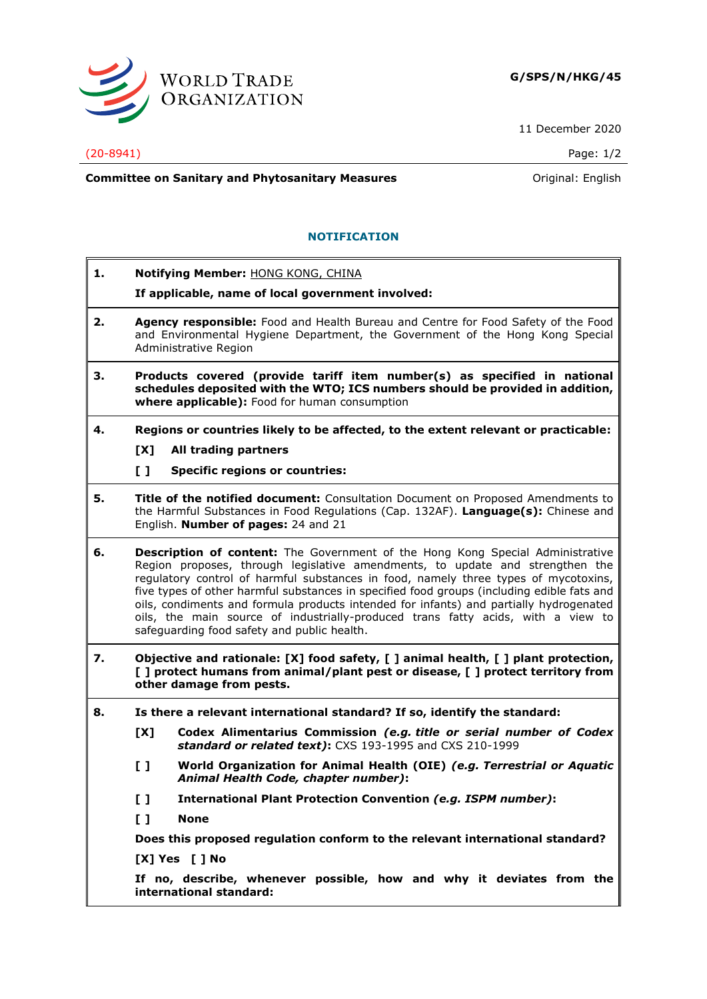

11 December 2020

## (20-8941) Page: 1/2

**Committee on Sanitary and Phytosanitary Measures Committee on Sanitary and Phytosanitary Measures Committee And American** 

## **NOTIFICATION**

**1. Notifying Member:** HONG KONG, CHINA

**If applicable, name of local government involved:**

- **2. Agency responsible:** Food and Health Bureau and Centre for Food Safety of the Food and Environmental Hygiene Department, the Government of the Hong Kong Special Administrative Region
- **3. Products covered (provide tariff item number(s) as specified in national schedules deposited with the WTO; ICS numbers should be provided in addition, where applicable):** Food for human consumption
- **4. Regions or countries likely to be affected, to the extent relevant or practicable:**
	- **[X] All trading partners**
	- **[ ] Specific regions or countries:**
- **5. Title of the notified document:** Consultation Document on Proposed Amendments to the Harmful Substances in Food Regulations (Cap. 132AF). **Language(s):** Chinese and English. **Number of pages:** 24 and 21
- **6. Description of content:** The Government of the Hong Kong Special Administrative Region proposes, through legislative amendments, to update and strengthen the regulatory control of harmful substances in food, namely three types of mycotoxins, five types of other harmful substances in specified food groups (including edible fats and oils, condiments and formula products intended for infants) and partially hydrogenated oils, the main source of industrially-produced trans fatty acids, with a view to safeguarding food safety and public health.
- **7. Objective and rationale: [X] food safety, [ ] animal health, [ ] plant protection, [ ] protect humans from animal/plant pest or disease, [ ] protect territory from other damage from pests.**
- **8. Is there a relevant international standard? If so, identify the standard:**
	- **[X] Codex Alimentarius Commission** *(e.g. title or serial number of Codex standard or related text)***:** CXS 193-1995 and CXS 210-1999
	- **[ ] World Organization for Animal Health (OIE)** *(e.g. Terrestrial or Aquatic Animal Health Code, chapter number)***:**
	- **[ ] International Plant Protection Convention** *(e.g. ISPM number)***:**
	- **[ ] None**

**Does this proposed regulation conform to the relevant international standard?** 

**[X] Yes [ ] No**

**If no, describe, whenever possible, how and why it deviates from the international standard:**